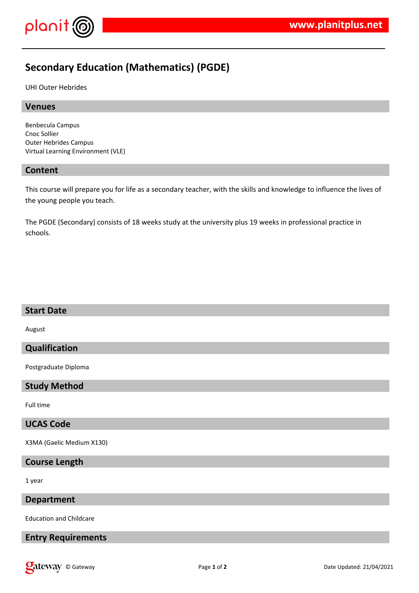

# **Secondary Education (Mathematics) (PGDE)**

UHI Outer Hebrides

#### **Venues**

Benbecula Campus Cnoc Sollier Outer Hebrides Campus Virtual Learning Environment (VLE)

### **Content**

This course will prepare you for life as a secondary teacher, with the skills and knowledge to influence the lives of the young people you teach.

The PGDE (Secondary) consists of 18 weeks study at the university plus 19 weeks in professional practice in schools.

#### **Start Date**

August

## **Qualification**

Postgraduate Diploma

#### **Study Method**

Full time

## **UCAS Code**

X3MA (Gaelic Medium X130)

#### **Course Length**

1 year

#### **Department**

Education and Childcare

## **Entry Requirements**

**Onder Street Associates Page 1** of **2 Cate Updated: 21/04/2021 Date Updated: 21/04/2021**